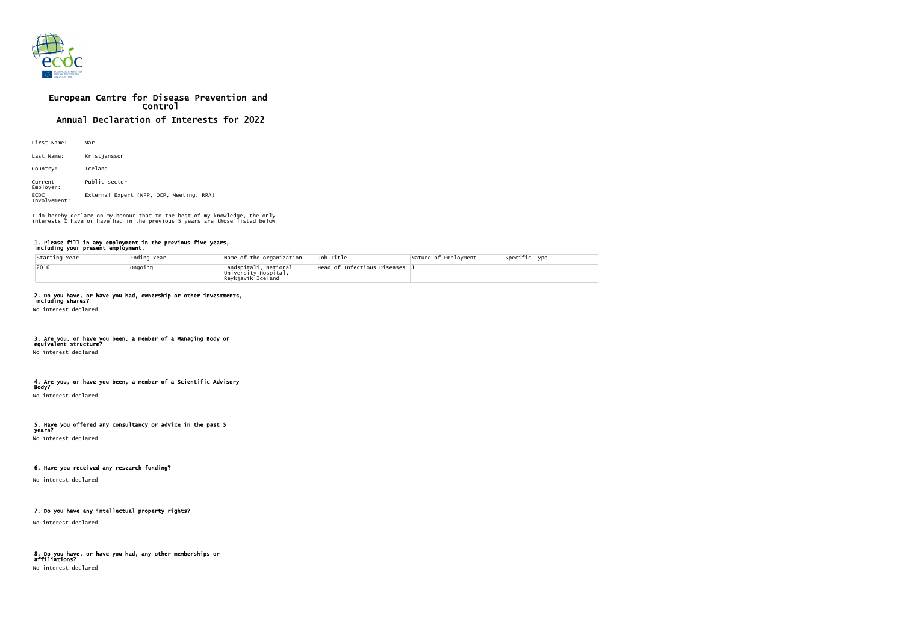

# European Centre for Disease Prevention and Control Annual Declaration of Interests for 2022

| First Name:                 | Mar                                      |  |  |  |
|-----------------------------|------------------------------------------|--|--|--|
| Last Name:                  | Kristjansson                             |  |  |  |
| Country:                    | Iceland                                  |  |  |  |
| Current<br>Employer:        | Public sector                            |  |  |  |
| <b>ECDC</b><br>Involvement: | External Expert (NFP, OCP, Meeting, RRA) |  |  |  |

#### 1. Please fill in any employment in the previous five years, including your present employment.

| Starting Year | Ending Year | Name of the organization                                           | Job Title                   | Nature of Employment | Specific Type |
|---------------|-------------|--------------------------------------------------------------------|-----------------------------|----------------------|---------------|
| 2016          | Ongoing     | Landspítali, National<br>University Hospital,<br>Reykjavík Iceland | Head of Infectious Diseases |                      |               |

# 2. Do you have, or have you had, ownership or other investments,

including shares? No interest declared

#### 3. Are you, or have you been, a member of a Managing Body or equivalent structure?

No interest declared

#### 4. Are you, or have you been, a member of a Scientific Advisory Body?

No interest declared

# 5. Have you offered any consultancy or advice in the past 5

years? No interest declared

# 6. Have you received any research funding?

No interest declared

# 7. Do you have any intellectual property rights?

No interest declared

#### 8. Do you have, or have you had, any other memberships or affiliations? No interest declared

| Specific Type |  |
|---------------|--|
|               |  |

I do hereby declare on my honour that to the best of my knowledge, the only interests I have or have had in the previous 5 years are those listed below